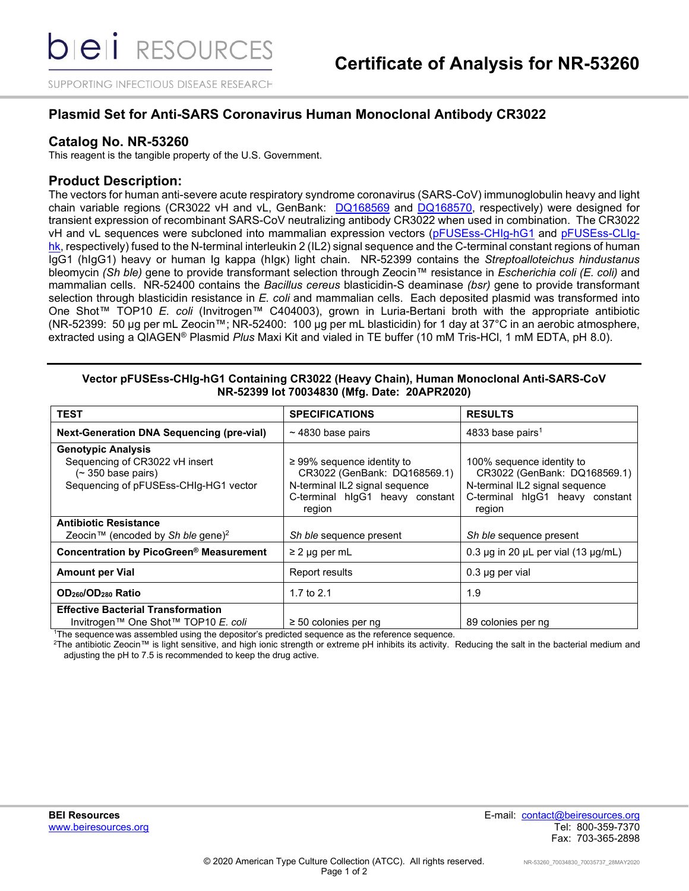SUPPORTING INFECTIOUS DISEASE RESEARCH

# **Plasmid Set for Anti-SARS Coronavirus Human Monoclonal Antibody CR3022**

## **Catalog No. NR-53260**

This reagent is the tangible property of the U.S. Government.

## **Product Description:**

The vectors for human anti-severe acute respiratory syndrome coronavirus (SARS-CoV) immunoglobulin heavy and light chain variable regions (CR3022 vH and vL, GenBank: [DQ168569](https://www.ncbi.nlm.nih.gov/nuccore/DQ168569) and [DQ168570,](https://www.ncbi.nlm.nih.gov/nuccore/DQ168570) respectively) were designed for transient expression of recombinant SARS-CoV neutralizing antibody CR3022 when used in combination. The CR3022 vH and vL sequences were subcloned into mammalian expression vectors [\(pFUSEss-CHIg-hG1](https://www.invivogen.com/sites/default/files/invivogen/products/files/pfusess_chig_hg1_tds.pdf) and [pFUSEss-CLIg](https://www.invivogen.com/sites/default/files/invivogen/products/files/pfuse2ss_clig_hk_tds.pdf)[hk,](https://www.invivogen.com/sites/default/files/invivogen/products/files/pfuse2ss_clig_hk_tds.pdf) respectively) fused to the N-terminal interleukin 2 (IL2) signal sequence and the C-terminal constant regions of human IgG1 (hIgG1) heavy or human Ig kappa (hIgκ) light chain. NR-52399 contains the *Streptoalloteichus hindustanus* bleomycin *(Sh ble)* gene to provide transformant selection through Zeocin™ resistance in *Escherichia coli (E. coli)* and mammalian cells. NR-52400 contains the *Bacillus cereus* blasticidin-S deaminase *(bsr)* gene to provide transformant selection through blasticidin resistance in *E. coli* and mammalian cells. Each deposited plasmid was transformed into One Shot™ TOP10 *E. coli* (Invitrogen™ C404003), grown in Luria-Bertani broth with the appropriate antibiotic (NR-52399: 50 µg per mL Zeocin™; NR-52400: 100 µg per mL blasticidin) for 1 day at 37°C in an aerobic atmosphere, extracted using a QIAGEN® Plasmid *Plus* Maxi Kit and vialed in TE buffer (10 mM Tris-HCl, 1 mM EDTA, pH 8.0).

#### **Vector pFUSEss-CHIg-hG1 Containing CR3022 (Heavy Chain), Human Monoclonal Anti-SARS-CoV NR-52399 lot 70034830 (Mfg. Date: 20APR2020)**

| <b>TEST</b>                                                                                                                        | <b>SPECIFICATIONS</b>                                                                                                                          | <b>RESULTS</b>                                                                                                                           |
|------------------------------------------------------------------------------------------------------------------------------------|------------------------------------------------------------------------------------------------------------------------------------------------|------------------------------------------------------------------------------------------------------------------------------------------|
| <b>Next-Generation DNA Sequencing (pre-vial)</b>                                                                                   | $\sim$ 4830 base pairs                                                                                                                         | 4833 base pairs <sup>1</sup>                                                                                                             |
| <b>Genotypic Analysis</b><br>Sequencing of CR3022 vH insert<br>$($ $\sim$ 350 base pairs)<br>Sequencing of pFUSEss-CHIg-HG1 vector | $\geq$ 99% sequence identity to<br>CR3022 (GenBank: DQ168569.1)<br>N-terminal IL2 signal sequence<br>C-terminal higG1 heavy constant<br>region | 100% sequence identity to<br>CR3022 (GenBank: DQ168569.1)<br>N-terminal IL2 signal sequence<br>C-terminal higG1 heavy constant<br>region |
| <b>Antibiotic Resistance</b><br>Zeocin™ (encoded by Sh ble gene) <sup>2</sup>                                                      | Sh ble sequence present                                                                                                                        | Sh ble sequence present                                                                                                                  |
| Concentration by PicoGreen® Measurement                                                                                            | $\geq$ 2 µg per mL                                                                                                                             | 0.3 $\mu$ g in 20 $\mu$ L per vial (13 $\mu$ g/mL)                                                                                       |
| <b>Amount per Vial</b>                                                                                                             | Report results                                                                                                                                 | $0.3 \mu g$ per vial                                                                                                                     |
| OD <sub>260</sub> /OD <sub>280</sub> Ratio                                                                                         | 1.7 to $2.1$                                                                                                                                   | 1.9                                                                                                                                      |
| <b>Effective Bacterial Transformation</b><br>Invitrogen™ One Shot™ TOP10 E. coli                                                   | $\geq 50$ colonies per ng                                                                                                                      | 89 colonies per ng                                                                                                                       |

<sup>1</sup>The sequence was assembled using the depositor's predicted sequence as the reference sequence.<br><sup>2</sup>The antibiotic Zeocin™ is light sensitive, and bigh jonic strength or extreme nH inbibits its activity. I

2The antibiotic Zeocin™ is light sensitive, and high ionic strength or extreme pH inhibits its activity. Reducing the salt in the bacterial medium and adjusting the pH to 7.5 is recommended to keep the drug active.